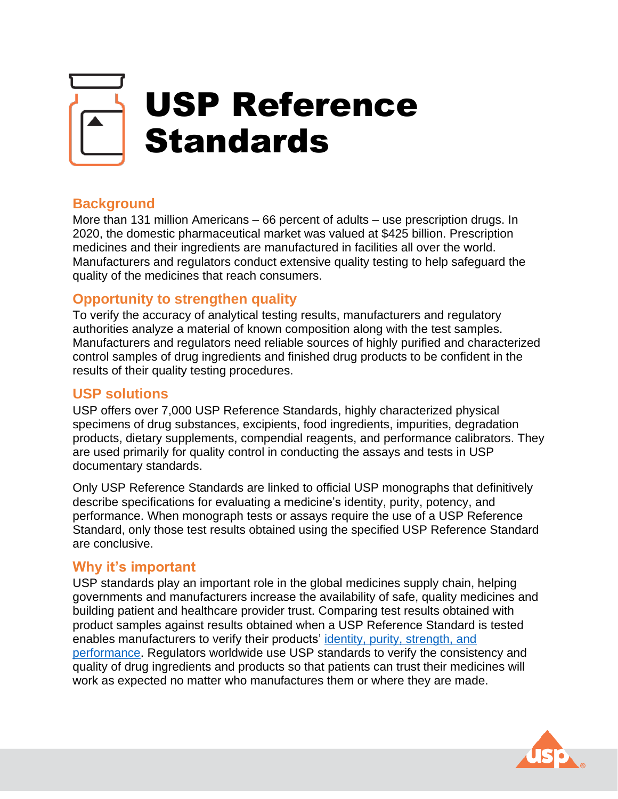

# **Background**

More than 131 million Americans – 66 percent of adults – use prescription drugs. In 2020, the domestic pharmaceutical market was valued at \$425 billion. Prescription medicines and their ingredients are manufactured in facilities all over the world. Manufacturers and regulators conduct extensive quality testing to help safeguard the quality of the medicines that reach consumers.

## **Opportunity to strengthen quality**

To verify the accuracy of analytical testing results, manufacturers and regulatory authorities analyze a material of known composition along with the test samples. Manufacturers and regulators need reliable sources of highly purified and characterized control samples of drug ingredients and finished drug products to be confident in the results of their quality testing procedures.

### **USP solutions**

USP offers over 7,000 USP Reference Standards, highly characterized physical specimens of drug substances, excipients, food ingredients, impurities, degradation products, dietary supplements, compendial reagents, and performance calibrators. They are used primarily for quality control in conducting the assays and tests in USP documentary standards.

Only USP Reference Standards are linked to official USP monographs that definitively describe specifications for evaluating a medicine's identity, purity, potency, and performance. When monograph tests or assays require the use of a USP Reference Standard, only those test results obtained using the specified USP Reference Standard are conclusive.

### **Why it's important**

USP standards play an important role in the global medicines supply chain, helping governments and manufacturers increase the availability of safe, quality medicines and building patient and healthcare provider trust. Comparing test results obtained with product samples against results obtained when a USP Reference Standard is tested enables manufacturers to verify their products' [identity, purity, strength, and](https://www.usp.org/chemical-medicines/the-reference-standards-and-monograph-process)  [performance.](https://www.usp.org/chemical-medicines/the-reference-standards-and-monograph-process) Regulators worldwide use USP standards to verify the consistency and quality of drug ingredients and products so that patients can trust their medicines will work as expected no matter who manufactures them or where they are made.